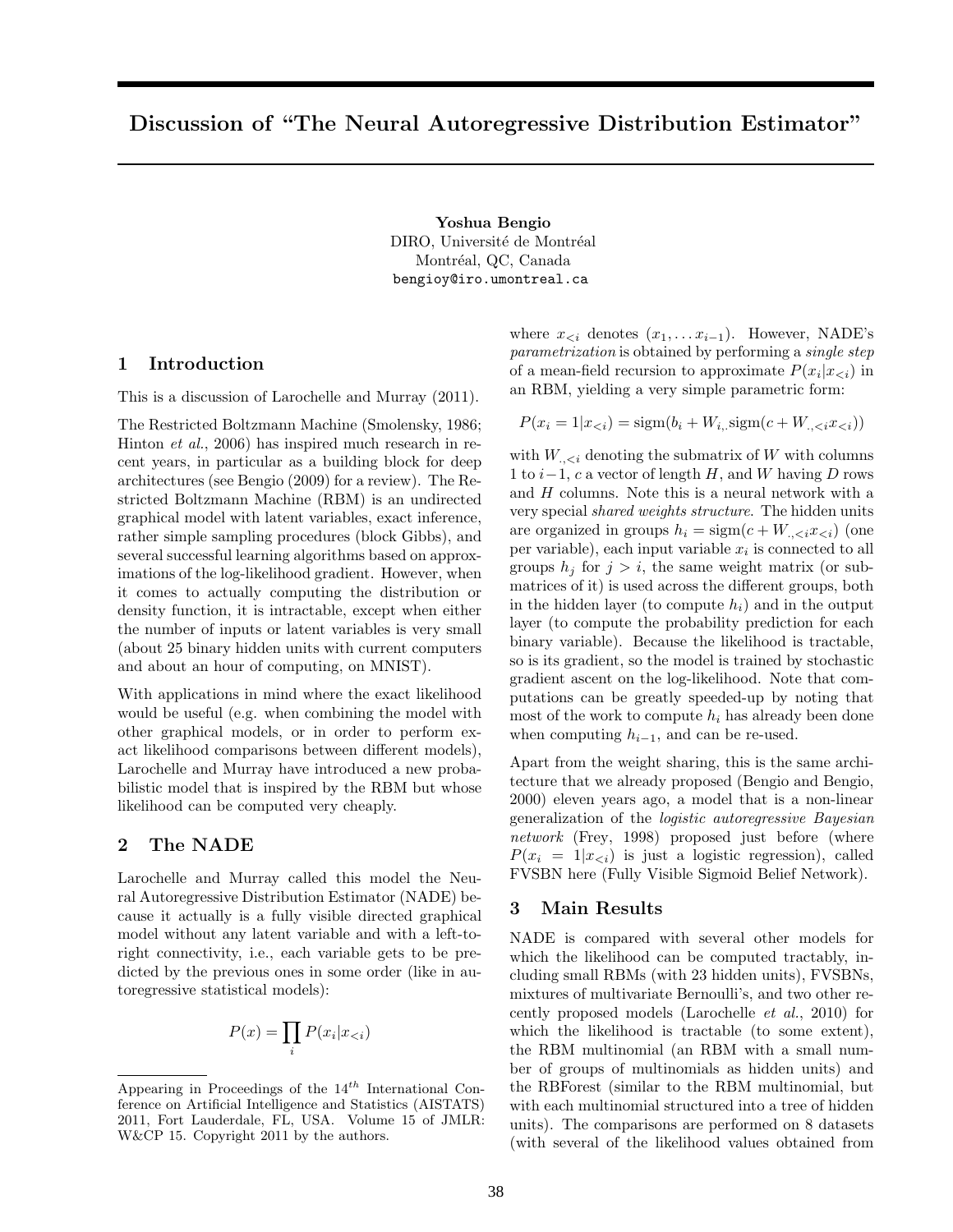#### 38

# Discussion of "The Neural Autoregressive Distribution Estimator"

Yoshua Bengio DIRO, Université de Montréal Montréal, QC, Canada bengioy@iro.umontreal.ca

## 1 Introduction

This is a discussion of Larochelle and Murray (2011).

The Restricted Boltzmann Machine (Smolensky, 1986; Hinton et al., 2006) has inspired much research in recent years, in particular as a building block for deep architectures (see Bengio (2009) for a review). The Restricted Boltzmann Machine (RBM) is an undirected graphical model with latent variables, exact inference, rather simple sampling procedures (block Gibbs), and several successful learning algorithms based on approximations of the log-likelihood gradient. However, when it comes to actually computing the distribution or density function, it is intractable, except when either the number of inputs or latent variables is very small (about 25 binary hidden units with current computers and about an hour of computing, on MNIST).

With applications in mind where the exact likelihood would be useful (e.g. when combining the model with other graphical models, or in order to perform exact likelihood comparisons between different models), Larochelle and Murray have introduced a new probabilistic model that is inspired by the RBM but whose likelihood can be computed very cheaply.

# 2 The NADE

Larochelle and Murray called this model the Neural Autoregressive Distribution Estimator (NADE) because it actually is a fully visible directed graphical model without any latent variable and with a left-toright connectivity, i.e., each variable gets to be predicted by the previous ones in some order (like in autoregressive statistical models):

$$
P(x) = \prod_i P(x_i | x_{&i})
$$

where  $x_{\leq i}$  denotes  $(x_1, \ldots, x_{i-1})$ . However, NADE's parametrization is obtained by performing a single step of a mean-field recursion to approximate  $P(x_i|x_{\leq i})$  in an RBM, yielding a very simple parametric form:

 $P(x_i = 1|x_{*i*}) = sign(b_i + W_{i..}sign(c + W_{i..} < i))$ 

with  $W_{n \leq i}$  denoting the submatrix of W with columns 1 to  $i-1$ , c a vector of length H, and W having D rows and H columns. Note this is a neural network with a very special shared weights structure. The hidden units are organized in groups  $h_i = \text{sigm}(c + W_{\cdot, < i} x_{\cdot i})$  (one per variable), each input variable  $x_i$  is connected to all groups  $h_j$  for  $j > i$ , the same weight matrix (or submatrices of it) is used across the different groups, both in the hidden layer (to compute  $h_i$ ) and in the output layer (to compute the probability prediction for each binary variable). Because the likelihood is tractable, so is its gradient, so the model is trained by stochastic gradient ascent on the log-likelihood. Note that computations can be greatly speeded-up by noting that most of the work to compute  $h_i$  has already been done when computing  $h_{i-1}$ , and can be re-used.

Apart from the weight sharing, this is the same architecture that we already proposed (Bengio and Bengio, 2000) eleven years ago, a model that is a non-linear generalization of the logistic autoregressive Bayesian network (Frey, 1998) proposed just before (where  $P(x_i = 1|x_{\le i})$  is just a logistic regression), called FVSBN here (Fully Visible Sigmoid Belief Network).

## 3 Main Results

NADE is compared with several other models for which the likelihood can be computed tractably, including small RBMs (with 23 hidden units), FVSBNs, mixtures of multivariate Bernoulli's, and two other recently proposed models (Larochelle et al., 2010) for which the likelihood is tractable (to some extent), the RBM multinomial (an RBM with a small number of groups of multinomials as hidden units) and the RBForest (similar to the RBM multinomial, but with each multinomial structured into a tree of hidden units). The comparisons are performed on 8 datasets (with several of the likelihood values obtained from

Appearing in Proceedings of the  $14^{th}$  International Conference on Artificial Intelligence and Statistics (AISTATS) 2011, Fort Lauderdale, FL, USA. Volume 15 of JMLR: W&CP 15. Copyright 2011 by the authors.